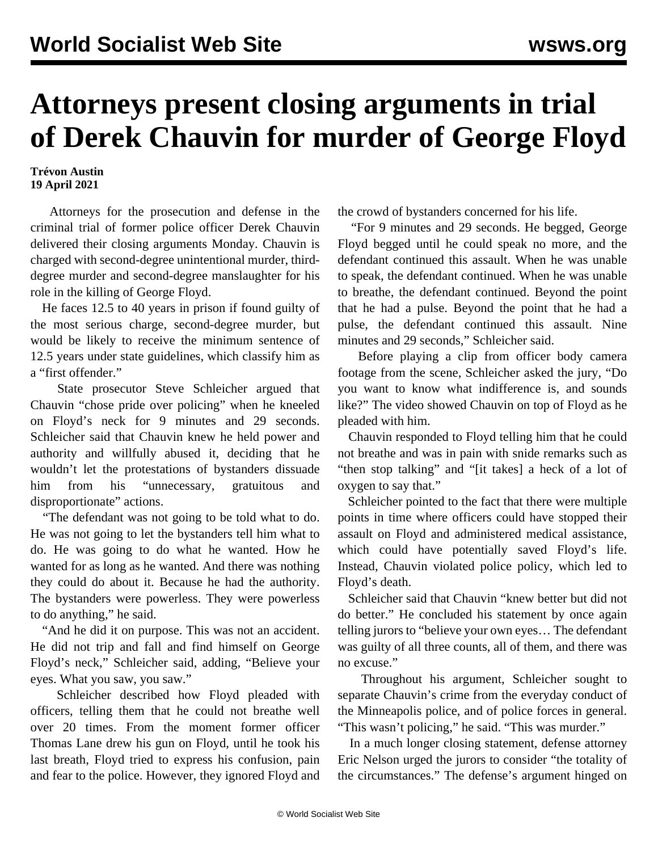## **Attorneys present closing arguments in trial of Derek Chauvin for murder of George Floyd**

**Trévon Austin 19 April 2021**

 Attorneys for the prosecution and defense in the criminal trial of former police officer Derek Chauvin delivered their closing arguments Monday. Chauvin is charged with second-degree unintentional murder, thirddegree murder and second-degree manslaughter for his role in the killing of George Floyd.

 He faces 12.5 to 40 years in prison if found guilty of the most serious charge, second-degree murder, but would be likely to receive the minimum sentence of 12.5 years under state guidelines, which classify him as a "first offender."

 State prosecutor Steve Schleicher argued that Chauvin "chose pride over policing" when he kneeled on Floyd's neck for 9 minutes and 29 seconds. Schleicher said that Chauvin knew he held power and authority and willfully abused it, deciding that he wouldn't let the protestations of bystanders dissuade him from his "unnecessary, gratuitous and disproportionate" actions.

 "The defendant was not going to be told what to do. He was not going to let the bystanders tell him what to do. He was going to do what he wanted. How he wanted for as long as he wanted. And there was nothing they could do about it. Because he had the authority. The bystanders were powerless. They were powerless to do anything," he said.

 "And he did it on purpose. This was not an accident. He did not trip and fall and find himself on George Floyd's neck," Schleicher said, adding, "Believe your eyes. What you saw, you saw."

 Schleicher described how Floyd pleaded with officers, telling them that he could not breathe well over 20 times. From the moment former officer Thomas Lane drew his gun on Floyd, until he took his last breath, Floyd tried to express his confusion, pain and fear to the police. However, they ignored Floyd and the crowd of bystanders concerned for his life.

 "For 9 minutes and 29 seconds. He begged, George Floyd begged until he could speak no more, and the defendant continued this assault. When he was unable to speak, the defendant continued. When he was unable to breathe, the defendant continued. Beyond the point that he had a pulse. Beyond the point that he had a pulse, the defendant continued this assault. Nine minutes and 29 seconds," Schleicher said.

 Before playing a clip from officer body camera footage from the scene, Schleicher asked the jury, "Do you want to know what indifference is, and sounds like?" The video showed Chauvin on top of Floyd as he pleaded with him.

 Chauvin responded to Floyd telling him that he could not breathe and was in pain with snide remarks such as "then stop talking" and "[it takes] a heck of a lot of oxygen to say that."

 Schleicher pointed to the fact that there were multiple points in time where officers could have stopped their assault on Floyd and administered medical assistance, which could have potentially saved Floyd's life. Instead, Chauvin violated police policy, which led to Floyd's death.

 Schleicher said that Chauvin "knew better but did not do better." He concluded his statement by once again telling jurors to "believe your own eyes… The defendant was guilty of all three counts, all of them, and there was no excuse."

 Throughout his argument, Schleicher sought to separate Chauvin's crime from the everyday conduct of the Minneapolis police, and of police forces in general. "This wasn't policing," he said. "This was murder."

 In a much longer closing statement, defense attorney Eric Nelson urged the jurors to consider "the totality of the circumstances." The defense's argument hinged on